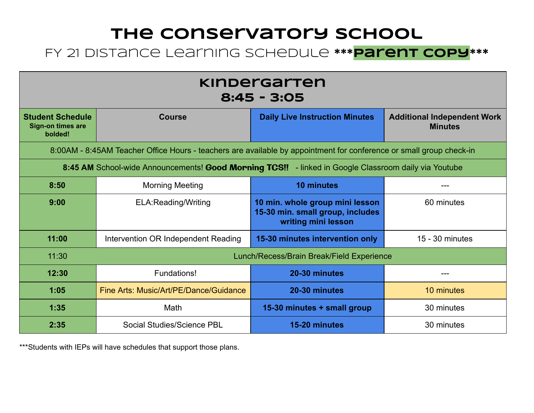#### FY 21 Distance Learning Schedule **\*\*\* Parent Copy \*\*\***

| <u>Kinbergarten</u><br>$8:45 - 3:05$                                                                                |                                        |                                                                                            |                                                      |  |
|---------------------------------------------------------------------------------------------------------------------|----------------------------------------|--------------------------------------------------------------------------------------------|------------------------------------------------------|--|
| <b>Student Schedule</b><br><b>Sign-on times are</b><br>bolded!                                                      | <b>Course</b>                          | <b>Daily Live Instruction Minutes</b>                                                      | <b>Additional Independent Work</b><br><b>Minutes</b> |  |
| 8:00AM - 8:45AM Teacher Office Hours - teachers are available by appointment for conference or small group check-in |                                        |                                                                                            |                                                      |  |
| 8:45 AM School-wide Announcements! Good Morning TCS!! - linked in Google Classroom daily via Youtube                |                                        |                                                                                            |                                                      |  |
| 8:50                                                                                                                | <b>Morning Meeting</b>                 | <b>10 minutes</b>                                                                          |                                                      |  |
| 9:00                                                                                                                | ELA: Reading/Writing                   | 10 min. whole group mini lesson<br>15-30 min. small group, includes<br>writing mini lesson | 60 minutes                                           |  |
| 11:00                                                                                                               | Intervention OR Independent Reading    | 15-30 minutes intervention only                                                            | 15 - 30 minutes                                      |  |
| 11:30                                                                                                               |                                        | Lunch/Recess/Brain Break/Field Experience                                                  |                                                      |  |
| 12:30                                                                                                               | Fundations!                            | 20-30 minutes                                                                              | ---                                                  |  |
| 1:05                                                                                                                | Fine Arts: Music/Art/PE/Dance/Guidance | 20-30 minutes                                                                              | 10 minutes                                           |  |
| 1:35                                                                                                                | Math                                   | 15-30 minutes + small group                                                                | 30 minutes                                           |  |
| 2:35                                                                                                                | Social Studies/Science PBL             | 15-20 minutes                                                                              | 30 minutes                                           |  |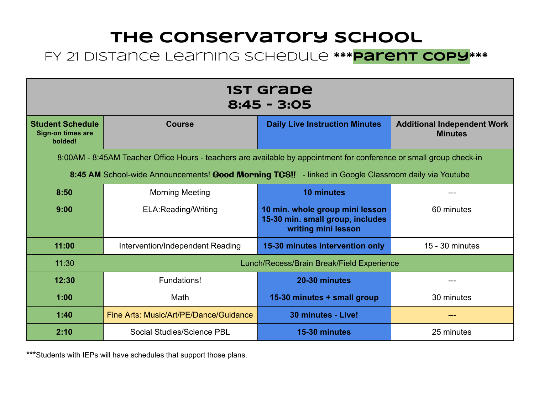#### FY 21 Distance Learning Schedule **\*\*\* Parent Copy \*\*\***

| <b>1ST Grabe</b><br>$8:45 - 3:05$                                                                    |                                                                                                                     |                                                                                            |                                                      |  |  |
|------------------------------------------------------------------------------------------------------|---------------------------------------------------------------------------------------------------------------------|--------------------------------------------------------------------------------------------|------------------------------------------------------|--|--|
| <b>Student Schedule</b><br><b>Sign-on times are</b><br>bolded!                                       | <b>Course</b>                                                                                                       | <b>Daily Live Instruction Minutes</b>                                                      | <b>Additional Independent Work</b><br><b>Minutes</b> |  |  |
|                                                                                                      | 8:00AM - 8:45AM Teacher Office Hours - teachers are available by appointment for conference or small group check-in |                                                                                            |                                                      |  |  |
| 8:45 AM School-wide Announcements! Good Morning TCS!! - linked in Google Classroom daily via Youtube |                                                                                                                     |                                                                                            |                                                      |  |  |
| 8:50                                                                                                 | <b>Morning Meeting</b>                                                                                              | <b>10 minutes</b>                                                                          |                                                      |  |  |
| 9:00                                                                                                 | ELA:Reading/Writing                                                                                                 | 10 min. whole group mini lesson<br>15-30 min. small group, includes<br>writing mini lesson | 60 minutes                                           |  |  |
| 11:00                                                                                                | Intervention/Independent Reading                                                                                    | 15-30 minutes intervention only                                                            | 15 - 30 minutes                                      |  |  |
| 11:30                                                                                                |                                                                                                                     | Lunch/Recess/Brain Break/Field Experience                                                  |                                                      |  |  |
| 12:30                                                                                                | Fundations!                                                                                                         | 20-30 minutes                                                                              | ---                                                  |  |  |
| 1:00                                                                                                 | Math                                                                                                                | 15-30 minutes + small group                                                                | 30 minutes                                           |  |  |
| 1:40                                                                                                 | Fine Arts: Music/Art/PE/Dance/Guidance                                                                              | 30 minutes - Live!                                                                         | ---                                                  |  |  |
| 2:10                                                                                                 | Social Studies/Science PBL                                                                                          | 15-30 minutes                                                                              | 25 minutes                                           |  |  |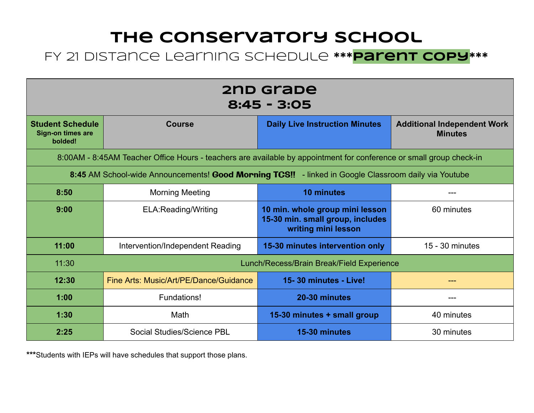#### FY 21 Distance Learning Schedule **\*\*\* Parent copy \*\*\***

| 2nd grabe<br>$8:45 - 3:05$                                                                           |                                                                                                                     |                                                                                            |                                                      |  |  |
|------------------------------------------------------------------------------------------------------|---------------------------------------------------------------------------------------------------------------------|--------------------------------------------------------------------------------------------|------------------------------------------------------|--|--|
| <b>Student Schedule</b><br><b>Sign-on times are</b><br>bolded!                                       | <b>Course</b>                                                                                                       | <b>Daily Live Instruction Minutes</b>                                                      | <b>Additional Independent Work</b><br><b>Minutes</b> |  |  |
|                                                                                                      | 8:00AM - 8:45AM Teacher Office Hours - teachers are available by appointment for conference or small group check-in |                                                                                            |                                                      |  |  |
| 8:45 AM School-wide Announcements! Good Morning TCS!! - linked in Google Classroom daily via Youtube |                                                                                                                     |                                                                                            |                                                      |  |  |
| 8:50                                                                                                 | <b>Morning Meeting</b>                                                                                              | <b>10 minutes</b>                                                                          |                                                      |  |  |
| 9:00                                                                                                 | ELA:Reading/Writing                                                                                                 | 10 min. whole group mini lesson<br>15-30 min. small group, includes<br>writing mini lesson | 60 minutes                                           |  |  |
| 11:00                                                                                                | Intervention/Independent Reading                                                                                    | 15-30 minutes intervention only                                                            | 15 - 30 minutes                                      |  |  |
| 11:30                                                                                                |                                                                                                                     | Lunch/Recess/Brain Break/Field Experience                                                  |                                                      |  |  |
| 12:30                                                                                                | Fine Arts: Music/Art/PE/Dance/Guidance                                                                              | 15-30 minutes - Live!                                                                      | ---                                                  |  |  |
| 1:00                                                                                                 | Fundations!                                                                                                         | 20-30 minutes                                                                              |                                                      |  |  |
| 1:30                                                                                                 | Math                                                                                                                | 15-30 minutes + small group                                                                | 40 minutes                                           |  |  |
| 2:25                                                                                                 | Social Studies/Science PBL                                                                                          | 15-30 minutes                                                                              | 30 minutes                                           |  |  |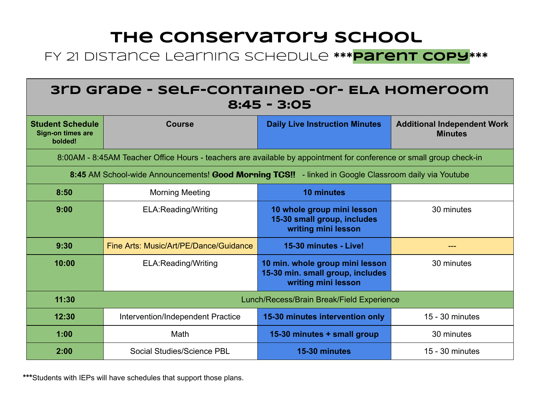#### FY 21 Distance Learning Schedule **\*\*\* Parent copy \*\*\***

| 3rd Grape - self-contained -or- ELA Homeroom<br>$8:45 - 3:05$                                        |                                                                                                                     |                                                                                            |                                                      |  |
|------------------------------------------------------------------------------------------------------|---------------------------------------------------------------------------------------------------------------------|--------------------------------------------------------------------------------------------|------------------------------------------------------|--|
| <b>Student Schedule</b><br>Sign-on times are<br>bolded!                                              | <b>Course</b>                                                                                                       | <b>Daily Live Instruction Minutes</b>                                                      | <b>Additional Independent Work</b><br><b>Minutes</b> |  |
|                                                                                                      | 8:00AM - 8:45AM Teacher Office Hours - teachers are available by appointment for conference or small group check-in |                                                                                            |                                                      |  |
| 8:45 AM School-wide Announcements! Good Morning TCS!! - linked in Google Classroom daily via Youtube |                                                                                                                     |                                                                                            |                                                      |  |
| 8:50                                                                                                 | <b>Morning Meeting</b>                                                                                              | <b>10 minutes</b>                                                                          |                                                      |  |
| 9:00                                                                                                 | ELA:Reading/Writing                                                                                                 | 10 whole group mini lesson<br>15-30 small group, includes<br>writing mini lesson           | 30 minutes                                           |  |
| 9:30                                                                                                 | Fine Arts: Music/Art/PE/Dance/Guidance                                                                              | 15-30 minutes - Live!                                                                      | $---$                                                |  |
| 10:00                                                                                                | ELA:Reading/Writing                                                                                                 | 10 min. whole group mini lesson<br>15-30 min. small group, includes<br>writing mini lesson | 30 minutes                                           |  |
| 11:30                                                                                                | Lunch/Recess/Brain Break/Field Experience                                                                           |                                                                                            |                                                      |  |
| 12:30                                                                                                | Intervention/Independent Practice                                                                                   | 15-30 minutes intervention only                                                            | 15 - 30 minutes                                      |  |
| 1:00                                                                                                 | Math                                                                                                                | 15-30 minutes + small group                                                                | 30 minutes                                           |  |
| 2:00                                                                                                 | Social Studies/Science PBL                                                                                          | 15-30 minutes                                                                              | 15 - 30 minutes                                      |  |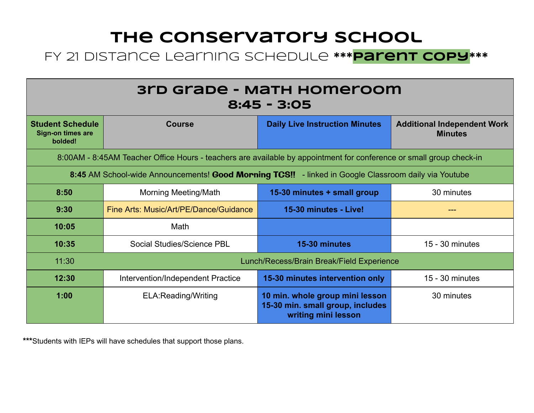#### FY 21 Distance Learning Schedule **\*\*\* Parent copy \*\*\***

| 3rd Grabe - Math Homeroom<br>$8:45 - 3:05$                                                                          |                                        |                                                                                            |                                                      |  |
|---------------------------------------------------------------------------------------------------------------------|----------------------------------------|--------------------------------------------------------------------------------------------|------------------------------------------------------|--|
| <b>Student Schedule</b><br><b>Sign-on times are</b><br>bolded!                                                      | <b>Course</b>                          | <b>Daily Live Instruction Minutes</b>                                                      | <b>Additional Independent Work</b><br><b>Minutes</b> |  |
| 8:00AM - 8:45AM Teacher Office Hours - teachers are available by appointment for conference or small group check-in |                                        |                                                                                            |                                                      |  |
| 8:45 AM School-wide Announcements! Good Morning TCS!! - linked in Google Classroom daily via Youtube                |                                        |                                                                                            |                                                      |  |
| 8:50                                                                                                                | <b>Morning Meeting/Math</b>            | 15-30 minutes + small group                                                                | 30 minutes                                           |  |
| 9:30                                                                                                                | Fine Arts: Music/Art/PE/Dance/Guidance | 15-30 minutes - Live!                                                                      | ---                                                  |  |
| 10:05                                                                                                               | Math                                   |                                                                                            |                                                      |  |
| 10:35                                                                                                               | Social Studies/Science PBL             | 15-30 minutes                                                                              | $15 - 30$ minutes                                    |  |
| 11:30                                                                                                               |                                        | Lunch/Recess/Brain Break/Field Experience                                                  |                                                      |  |
| 12:30                                                                                                               | Intervention/Independent Practice      | 15-30 minutes intervention only                                                            | 15 - 30 minutes                                      |  |
| 1:00                                                                                                                | <b>ELA:Reading/Writing</b>             | 10 min. whole group mini lesson<br>15-30 min. small group, includes<br>writing mini lesson | 30 minutes                                           |  |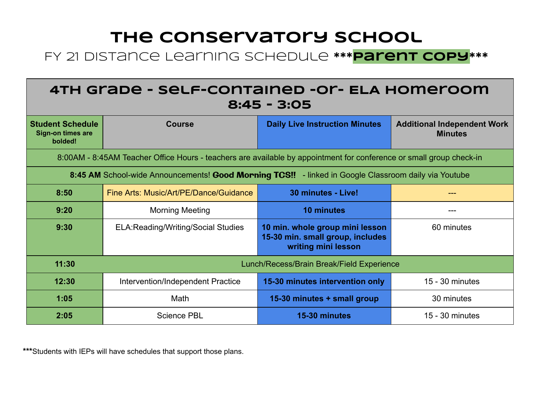#### FY 21 Distance Learning Schedule **\*\*\* parent copy \*\*\***

| 4TH Grade - Self-contained - Or- ELA Homeroom<br>$8:45 - 3:05$                                                      |                                            |                                                                                            |                                                      |  |
|---------------------------------------------------------------------------------------------------------------------|--------------------------------------------|--------------------------------------------------------------------------------------------|------------------------------------------------------|--|
| <b>Student Schedule</b><br>Sign-on times are<br>bolded!                                                             | <b>Course</b>                              | <b>Daily Live Instruction Minutes</b>                                                      | <b>Additional Independent Work</b><br><b>Minutes</b> |  |
| 8:00AM - 8:45AM Teacher Office Hours - teachers are available by appointment for conference or small group check-in |                                            |                                                                                            |                                                      |  |
| 8:45 AM School-wide Announcements! Good Morning TCS!! - linked in Google Classroom daily via Youtube                |                                            |                                                                                            |                                                      |  |
| 8:50                                                                                                                | Fine Arts: Music/Art/PE/Dance/Guidance     | 30 minutes - Live!                                                                         |                                                      |  |
| 9:20                                                                                                                | <b>Morning Meeting</b>                     | <b>10 minutes</b>                                                                          | ---                                                  |  |
| 9:30                                                                                                                | <b>ELA: Reading/Writing/Social Studies</b> | 10 min. whole group mini lesson<br>15-30 min. small group, includes<br>writing mini lesson | 60 minutes                                           |  |
| 11:30<br>Lunch/Recess/Brain Break/Field Experience                                                                  |                                            |                                                                                            |                                                      |  |
| 12:30                                                                                                               | Intervention/Independent Practice          | 15-30 minutes intervention only                                                            | $15 - 30$ minutes                                    |  |
| 1:05                                                                                                                | Math                                       | 15-30 minutes + small group                                                                | 30 minutes                                           |  |
| 2:05                                                                                                                | <b>Science PBL</b>                         | 15-30 minutes                                                                              | 15 - 30 minutes                                      |  |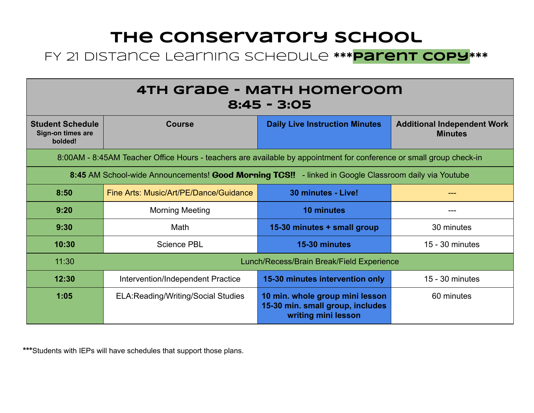#### FY 21 Distance Learning Schedule **\*\*\* Parent copy \*\*\***

| 4TH Grade - Math Homeroom<br>$8:45 - 3:05$                                                                          |                                            |                                                                                            |                                                      |  |
|---------------------------------------------------------------------------------------------------------------------|--------------------------------------------|--------------------------------------------------------------------------------------------|------------------------------------------------------|--|
| <b>Student Schedule</b><br>Sign-on times are<br>bolded!                                                             | <b>Course</b>                              | <b>Daily Live Instruction Minutes</b>                                                      | <b>Additional Independent Work</b><br><b>Minutes</b> |  |
| 8:00AM - 8:45AM Teacher Office Hours - teachers are available by appointment for conference or small group check-in |                                            |                                                                                            |                                                      |  |
| 8:45 AM School-wide Announcements! Good Morning TCS!! - linked in Google Classroom daily via Youtube                |                                            |                                                                                            |                                                      |  |
| 8:50                                                                                                                | Fine Arts: Music/Art/PE/Dance/Guidance     | 30 minutes - Live!                                                                         |                                                      |  |
| 9:20                                                                                                                | <b>Morning Meeting</b>                     | <b>10 minutes</b>                                                                          |                                                      |  |
| 9:30                                                                                                                | Math                                       | 15-30 minutes + small group                                                                | 30 minutes                                           |  |
| 10:30                                                                                                               | <b>Science PBL</b>                         | 15-30 minutes                                                                              | 15 - 30 minutes                                      |  |
| 11:30                                                                                                               |                                            | Lunch/Recess/Brain Break/Field Experience                                                  |                                                      |  |
| 12:30                                                                                                               | Intervention/Independent Practice          | 15-30 minutes intervention only                                                            | 15 - 30 minutes                                      |  |
| 1:05                                                                                                                | <b>ELA: Reading/Writing/Social Studies</b> | 10 min. whole group mini lesson<br>15-30 min. small group, includes<br>writing mini lesson | 60 minutes                                           |  |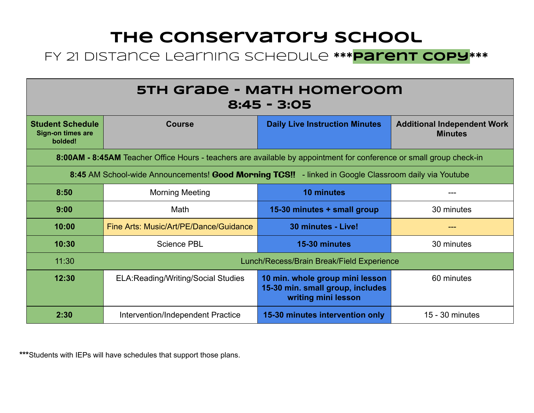#### FY 21 Distance Learning Schedule **\*\*\* parent copy \*\*\***

| 5TH Grade - Math Homeroom<br>$8:45 - 3:05$                                                           |                                                                                                                     |                                                                                            |                                                      |  |  |
|------------------------------------------------------------------------------------------------------|---------------------------------------------------------------------------------------------------------------------|--------------------------------------------------------------------------------------------|------------------------------------------------------|--|--|
| <b>Student Schedule</b><br><b>Sign-on times are</b><br>bolded!                                       | <b>Course</b>                                                                                                       | <b>Daily Live Instruction Minutes</b>                                                      | <b>Additional Independent Work</b><br><b>Minutes</b> |  |  |
|                                                                                                      | 8:00AM - 8:45AM Teacher Office Hours - teachers are available by appointment for conference or small group check-in |                                                                                            |                                                      |  |  |
| 8:45 AM School-wide Announcements! Good Morning TCS!! - linked in Google Classroom daily via Youtube |                                                                                                                     |                                                                                            |                                                      |  |  |
| 8:50                                                                                                 | <b>Morning Meeting</b>                                                                                              | <b>10 minutes</b>                                                                          |                                                      |  |  |
| 9:00                                                                                                 | Math                                                                                                                | 15-30 minutes + small group                                                                | 30 minutes                                           |  |  |
| 10:00                                                                                                | Fine Arts: Music/Art/PE/Dance/Guidance                                                                              | 30 minutes - Live!                                                                         | ---                                                  |  |  |
| 10:30                                                                                                | <b>Science PBL</b>                                                                                                  | 15-30 minutes                                                                              | 30 minutes                                           |  |  |
| 11:30                                                                                                | Lunch/Recess/Brain Break/Field Experience                                                                           |                                                                                            |                                                      |  |  |
| 12:30                                                                                                | <b>ELA: Reading/Writing/Social Studies</b>                                                                          | 10 min. whole group mini lesson<br>15-30 min. small group, includes<br>writing mini lesson | 60 minutes                                           |  |  |
| 2:30                                                                                                 | Intervention/Independent Practice                                                                                   | 15-30 minutes intervention only                                                            | $15 - 30$ minutes                                    |  |  |